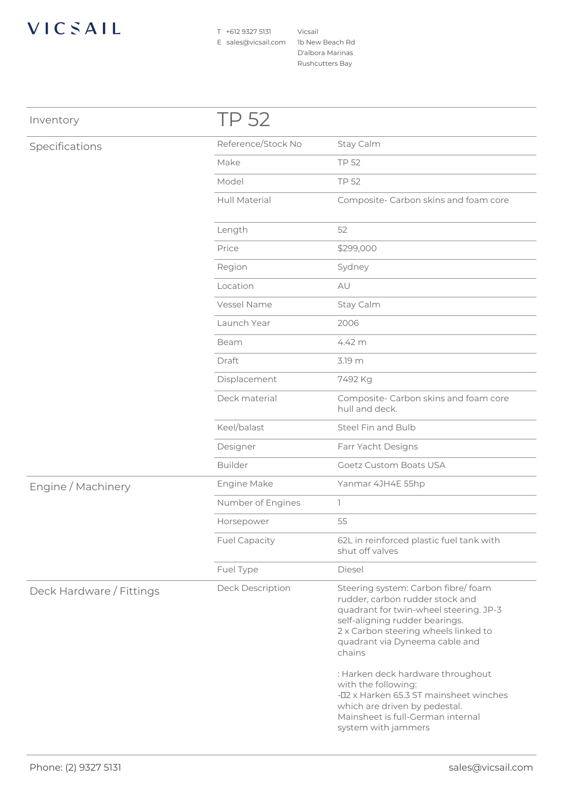## VICSAIL

T +612 9327 5131 E sales@vicsail.com 1b New Beach Rd

Vicsail D'albora Marinas Rushcutters Bay

| Inventory                | TP 52                |                                                                                                                                                                                                                                                                                                                                                                                                                                          |
|--------------------------|----------------------|------------------------------------------------------------------------------------------------------------------------------------------------------------------------------------------------------------------------------------------------------------------------------------------------------------------------------------------------------------------------------------------------------------------------------------------|
| Specifications           | Reference/Stock No   | Stay Calm                                                                                                                                                                                                                                                                                                                                                                                                                                |
|                          | Make                 | <b>TP 52</b>                                                                                                                                                                                                                                                                                                                                                                                                                             |
|                          | Model                | <b>TP 52</b>                                                                                                                                                                                                                                                                                                                                                                                                                             |
|                          | <b>Hull Material</b> | Composite- Carbon skins and foam core                                                                                                                                                                                                                                                                                                                                                                                                    |
|                          | Length               | 52                                                                                                                                                                                                                                                                                                                                                                                                                                       |
|                          | Price                | \$299,000                                                                                                                                                                                                                                                                                                                                                                                                                                |
|                          | Region               | Sydney                                                                                                                                                                                                                                                                                                                                                                                                                                   |
|                          | Location             | AU                                                                                                                                                                                                                                                                                                                                                                                                                                       |
|                          | Vessel Name          | Stay Calm                                                                                                                                                                                                                                                                                                                                                                                                                                |
|                          | Launch Year          | 2006                                                                                                                                                                                                                                                                                                                                                                                                                                     |
|                          | Beam                 | 4.42 m                                                                                                                                                                                                                                                                                                                                                                                                                                   |
|                          | Draft                | 3.19 m                                                                                                                                                                                                                                                                                                                                                                                                                                   |
|                          | Displacement         | 7492 Kg                                                                                                                                                                                                                                                                                                                                                                                                                                  |
|                          | Deck material        | Composite- Carbon skins and foam core<br>hull and deck.                                                                                                                                                                                                                                                                                                                                                                                  |
|                          | Keel/balast          | Steel Fin and Bulb                                                                                                                                                                                                                                                                                                                                                                                                                       |
|                          | Designer             | Farr Yacht Designs                                                                                                                                                                                                                                                                                                                                                                                                                       |
|                          | <b>Builder</b>       | <b>Goetz Custom Boats USA</b>                                                                                                                                                                                                                                                                                                                                                                                                            |
| Engine / Machinery       | Engine Make          | Yanmar 4JH4E 55hp                                                                                                                                                                                                                                                                                                                                                                                                                        |
|                          | Number of Engines    | $\mathbb{R}$                                                                                                                                                                                                                                                                                                                                                                                                                             |
|                          | Horsepower           | 55                                                                                                                                                                                                                                                                                                                                                                                                                                       |
|                          | <b>Fuel Capacity</b> | 62L in reinforced plastic fuel tank with<br>shut off valves                                                                                                                                                                                                                                                                                                                                                                              |
|                          | Fuel Type            | Diesel                                                                                                                                                                                                                                                                                                                                                                                                                                   |
| Deck Hardware / Fittings | Deck Description     | Steering system: Carbon fibre/foam<br>rudder, carbon rudder stock and<br>quadrant for twin-wheel steering. JP-3<br>self-aligning rudder bearings.<br>2 x Carbon steering wheels linked to<br>quadrant via Dyneema cable and<br>chains<br>: Harken deck hardware throughout<br>with the following:<br>-02 x Harken 65.3 ST mainsheet winches<br>which are driven by pedestal.<br>Mainsheet is full-German internal<br>system with jammers |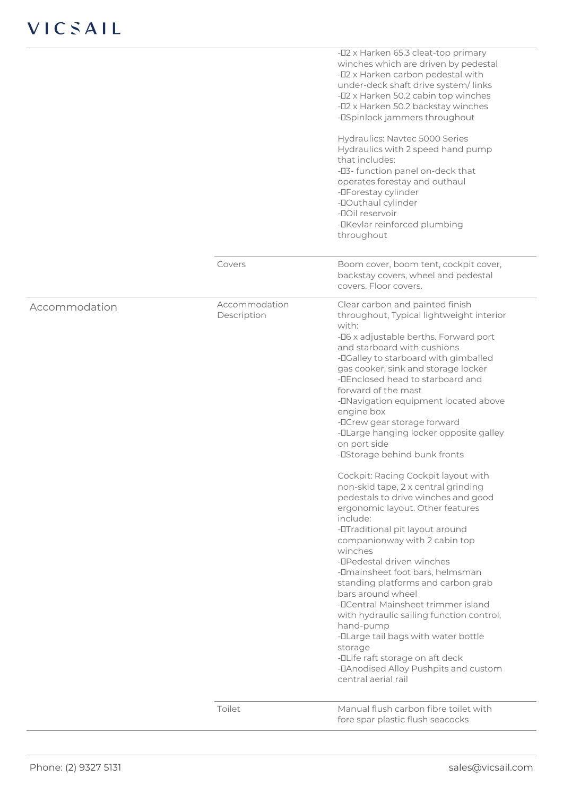|               |                              | -02 x Harken 65.3 cleat-top primary<br>winches which are driven by pedestal<br>-02 x Harken carbon pedestal with<br>under-deck shaft drive system/links<br>-02 x Harken 50.2 cabin top winches<br>-02 x Harken 50.2 backstay winches<br>-DSpinlock jammers throughout<br>Hydraulics: Navtec 5000 Series<br>Hydraulics with 2 speed hand pump<br>that includes:                                                                                                                                                                                                                                                                                                                                                                                                                                                                                                                                             |
|---------------|------------------------------|------------------------------------------------------------------------------------------------------------------------------------------------------------------------------------------------------------------------------------------------------------------------------------------------------------------------------------------------------------------------------------------------------------------------------------------------------------------------------------------------------------------------------------------------------------------------------------------------------------------------------------------------------------------------------------------------------------------------------------------------------------------------------------------------------------------------------------------------------------------------------------------------------------|
|               |                              | -03- function panel on-deck that<br>operates forestay and outhaul<br>-DForestay cylinder<br>-DOuthaul cylinder<br>-DOII reservoir<br>-DKevlar reinforced plumbing<br>throughout                                                                                                                                                                                                                                                                                                                                                                                                                                                                                                                                                                                                                                                                                                                            |
|               | Covers                       | Boom cover, boom tent, cockpit cover,<br>backstay covers, wheel and pedestal<br>covers. Floor covers.                                                                                                                                                                                                                                                                                                                                                                                                                                                                                                                                                                                                                                                                                                                                                                                                      |
| Accommodation | Accommodation<br>Description | Clear carbon and painted finish<br>throughout, Typical lightweight interior<br>with:<br>-D6 x adjustable berths. Forward port<br>and starboard with cushions<br>-DGalley to starboard with gimballed<br>gas cooker, sink and storage locker<br>-DEnclosed head to starboard and<br>forward of the mast<br>-DNavigation equipment located above<br>engine box<br>-DCrew gear storage forward<br>-DLarge hanging locker opposite galley<br>on port side<br>-DStorage behind bunk fronts<br>Cockpit: Racing Cockpit layout with<br>non-skid tape, 2 x central grinding<br>pedestals to drive winches and good<br>ergonomic layout. Other features<br>include:<br>-OTraditional pit layout around<br>companionway with 2 cabin top<br>winches<br>-DPedestal driven winches<br>-Omainsheet foot bars, helmsman<br>standing platforms and carbon grab<br>bars around wheel<br>-DCentral Mainsheet trimmer island |
|               |                              | with hydraulic sailing function control,<br>hand-pump<br>-DLarge tail bags with water bottle<br>storage<br>-OLife raft storage on aft deck<br>-DAnodised Alloy Pushpits and custom<br>central aerial rail                                                                                                                                                                                                                                                                                                                                                                                                                                                                                                                                                                                                                                                                                                  |
|               | Toilet                       | Manual flush carbon fibre toilet with<br>fore spar plastic flush seacocks                                                                                                                                                                                                                                                                                                                                                                                                                                                                                                                                                                                                                                                                                                                                                                                                                                  |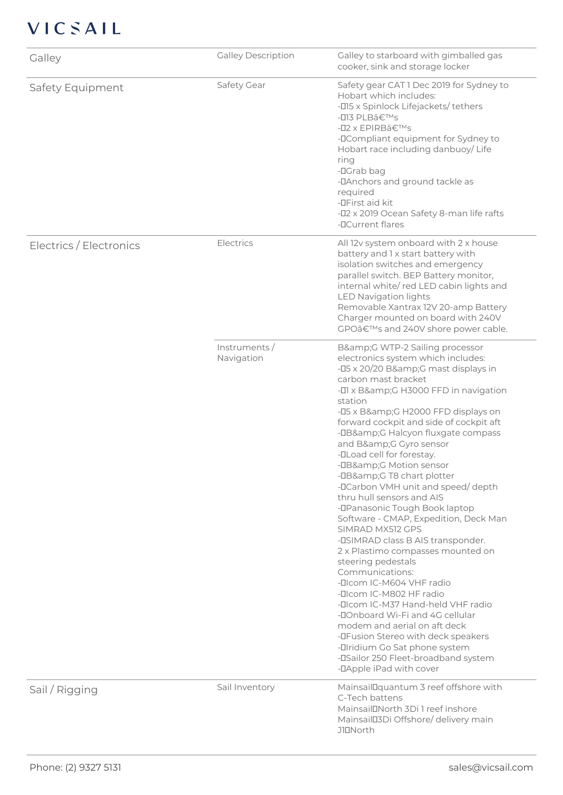## VICSAIL

| Galley                  | <b>Galley Description</b>   | Galley to starboard with gimballed gas<br>cooker, sink and storage locker                                                                                                                                                                                                                                                                                                                                                                                                                                                                                                                                                                                                                                                                                                                                                                                                                                                                                                                            |
|-------------------------|-----------------------------|------------------------------------------------------------------------------------------------------------------------------------------------------------------------------------------------------------------------------------------------------------------------------------------------------------------------------------------------------------------------------------------------------------------------------------------------------------------------------------------------------------------------------------------------------------------------------------------------------------------------------------------------------------------------------------------------------------------------------------------------------------------------------------------------------------------------------------------------------------------------------------------------------------------------------------------------------------------------------------------------------|
| Safety Equipment        | Safety Gear                 | Safety gear CAT 1 Dec 2019 for Sydney to<br>Hobart which includes:<br>-015 x Spinlock Lifejackets/tethers<br>-013 PLB's<br>-02 x EPIRB's<br>-DCompliant equipment for Sydney to<br>Hobart race including danbuoy/Life<br>ring<br>-DGrab bag<br>-DAnchors and ground tackle as<br>required<br>-DFirst aid kit<br>-02 x 2019 Ocean Safety 8-man life rafts<br>-DCurrent flares                                                                                                                                                                                                                                                                                                                                                                                                                                                                                                                                                                                                                         |
| Electrics / Electronics | Electrics                   | All 12v system onboard with 2 x house<br>battery and 1 x start battery with<br>isolation switches and emergency<br>parallel switch. BEP Battery monitor,<br>internal white/red LED cabin lights and<br><b>LED Navigation lights</b><br>Removable Xantrax 12V 20-amp Battery<br>Charger mounted on board with 240V<br>GPO's and 240V shore power cable.                                                                                                                                                                                                                                                                                                                                                                                                                                                                                                                                                                                                                                               |
|                         | Instruments /<br>Navigation | B&G WTP-2 Sailing processor<br>electronics system which includes:<br>-05 x 20/20 B&G mast displays in<br>carbon mast bracket<br>-01 x B&G H3000 FFD in navigation<br>station<br>-05 x B&G H2000 FFD displays on<br>forward cockpit and side of cockpit aft<br>-DB&G Halcyon fluxgate compass<br>and B&G Gyro sensor<br>-DLoad cell for forestay.<br>-DB&G Motion sensor<br>-DB&G T8 chart plotter<br>-DCarbon VMH unit and speed/depth<br>thru hull sensors and AIS<br>-DPanasonic Tough Book laptop<br>Software - CMAP, Expedition, Deck Man<br>SIMRAD MX512 GPS<br>-DSIMRAD class B AIS transponder.<br>2 x Plastimo compasses mounted on<br>steering pedestals<br>Communications:<br>-Dicom IC-M604 VHF radio<br>-Dicom IC-M802 HF radio<br>-Dicom IC-M37 Hand-held VHF radio<br>-DOnboard Wi-Fi and 4G cellular<br>modem and aerial on aft deck<br>-DFusion Stereo with deck speakers<br>- <b>Ilridium Go Sat phone system</b><br>-DSailor 250 Fleet-broadband system<br>-DApple iPad with cover |
| Sail / Rigging          | Sail Inventory              | MainsailDquantum 3 reef offshore with<br>C-Tech battens<br>MainsailDNorth 3Di 1 reef inshore<br>MainsailD3Di Offshore/ delivery main<br><b>JIDNorth</b>                                                                                                                                                                                                                                                                                                                                                                                                                                                                                                                                                                                                                                                                                                                                                                                                                                              |